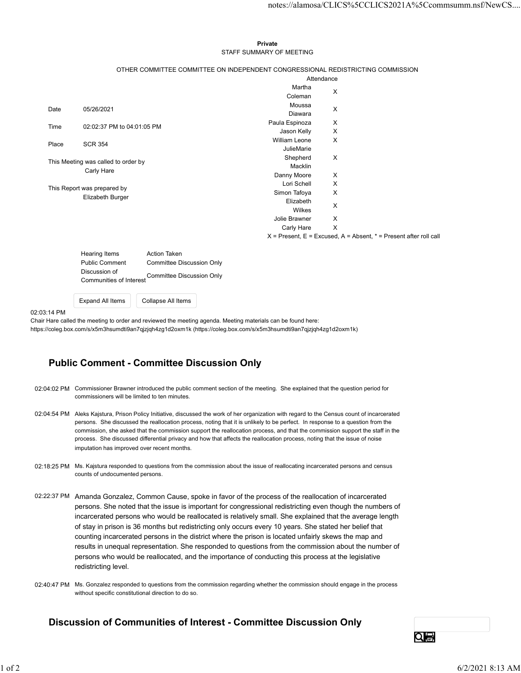#### Private **Private** and *Private* and *Private* and *Private* and *Private* and *Private* and *Private* and *Private* and *Private* and *Private* and *Private* and *Private* and *Private* and *Private* and *Private* and *Pri* STAFF SUMMARY OF MEETING

|         |                                                                                 |                               |                                                                           | notes://alamosa/CLICS%5CCLICS2021A%5Ccommsumm.nsf/NewCS |  |
|---------|---------------------------------------------------------------------------------|-------------------------------|---------------------------------------------------------------------------|---------------------------------------------------------|--|
|         |                                                                                 |                               |                                                                           |                                                         |  |
|         |                                                                                 |                               |                                                                           |                                                         |  |
|         |                                                                                 | Private                       |                                                                           |                                                         |  |
|         |                                                                                 | STAFF SUMMARY OF MEETING      |                                                                           |                                                         |  |
|         | OTHER COMMITTEE COMMITTEE ON INDEPENDENT CONGRESSIONAL REDISTRICTING COMMISSION |                               |                                                                           |                                                         |  |
|         |                                                                                 |                               | Attendance                                                                |                                                         |  |
|         |                                                                                 | Martha                        | X                                                                         |                                                         |  |
|         |                                                                                 | Coleman<br>Moussa             |                                                                           |                                                         |  |
| Date    | 05/26/2021                                                                      | Diawara                       | X                                                                         |                                                         |  |
| Time    | 02:02:37 PM to 04:01:05 PM                                                      | Paula Espinoza                | X                                                                         |                                                         |  |
|         |                                                                                 | Jason Kelly                   | X                                                                         |                                                         |  |
| Place   | <b>SCR 354</b>                                                                  | William Leone                 | X                                                                         |                                                         |  |
|         |                                                                                 | JulieMarie<br>Shepherd        | X                                                                         |                                                         |  |
|         | This Meeting was called to order by                                             | Macklin                       |                                                                           |                                                         |  |
|         | Carly Hare                                                                      | Danny Moore                   | X                                                                         |                                                         |  |
|         | This Report was prepared by                                                     | Lori Schell                   | X                                                                         |                                                         |  |
|         | Elizabeth Burger                                                                | Simon Tafoya                  | X                                                                         |                                                         |  |
|         |                                                                                 | Elizabeth                     | X                                                                         |                                                         |  |
|         |                                                                                 | Wilkes                        |                                                                           |                                                         |  |
|         |                                                                                 | Jolie Brawner<br>Carly Hare X | X                                                                         |                                                         |  |
|         |                                                                                 |                               | $X =$ Present, $E =$ Excused, $A =$ Absent, $* =$ Present after roll call |                                                         |  |
|         |                                                                                 |                               |                                                                           |                                                         |  |
|         | Action Taken<br>Hearing Items                                                   |                               |                                                                           |                                                         |  |
|         | <b>Public Comment</b><br><b>Committee Discussion Only</b>                       |                               |                                                                           |                                                         |  |
|         | Discussion of<br>Committee Discussion Only<br>Communities of Interest           |                               |                                                                           |                                                         |  |
|         |                                                                                 |                               |                                                                           |                                                         |  |
|         | Expand All Items<br>Collapse All Items                                          |                               |                                                                           |                                                         |  |
| 3:14 PM |                                                                                 |                               |                                                                           |                                                         |  |
|         |                                                                                 |                               |                                                                           |                                                         |  |

| Hearing Items                            | Action Taken              |
|------------------------------------------|---------------------------|
| <b>Public Comment</b>                    | Committee Discussion Only |
| Discussion of<br>Communities of Interest | Committee Discussion Only |

### 02:03:14 PM

Chair Hare called the meeting to order and reviewed the meeting agenda. Meeting materials can be found here: https://coleg.box.com/s/x5m3hsumdti9an7qjzjqh4zg1d2oxm1k (https://coleg.box.com/s/x5m3hsumdti9an7qjzjqh4zg1d2oxm1k)

# Public Comment - Committee Discussion Only

- 02:04:02 PM Commissioner Brawner introduced the public comment section of the meeting. She explained that the question period for commissioners will be limited to ten minutes.
- 02:04:54 PM Aleks Kajstura, Prison Policy Initiative, discussed the work of her organization with regard to the Census count of incarcerated persons. She discussed the reallocation process, noting that it is unlikely to be perfect. In response to a question from the commission, she asked that the commission support the reallocation process, and that the commission support the staff in the process. She discussed differential privacy and how that affects the reallocation process, noting that the issue of noise imputation has improved over recent months.
- 02:18:25 PM Ms. Kajstura responded to questions from the commission about the issue of reallocating incarcerated persons and census counts of undocumented persons.
- 02:22:37 PM Amanda Gonzalez, Common Cause, spoke in favor of the process of the reallocation of incarcerated persons. She noted that the issue is important for congressional redistricting even though the numbers of incarcerated persons who would be reallocated is relatively small. She explained that the average length of stay in prison is 36 months but redistricting only occurs every 10 years. She stated her belief that counting incarcerated persons in the district where the prison is located unfairly skews the map and results in unequal representation. She responded to questions from the commission about the number of persons who would be reallocated, and the importance of conducting this process at the legislative redistricting level. Imputation has improved over noont months.<br>
M. Keightar energoeds the parallel to apendinate the same of realistanting incorecanted persons and census<br>
counts of undocumental gross of the control of the realistanting incor
	- 02:40:47 PM Ms. Gonzalez responded to questions from the commission regarding whether the commission should engage in the process without specific constitutional direction to do so.

## Discussion of Communities of Interest - Committee Discussion Only